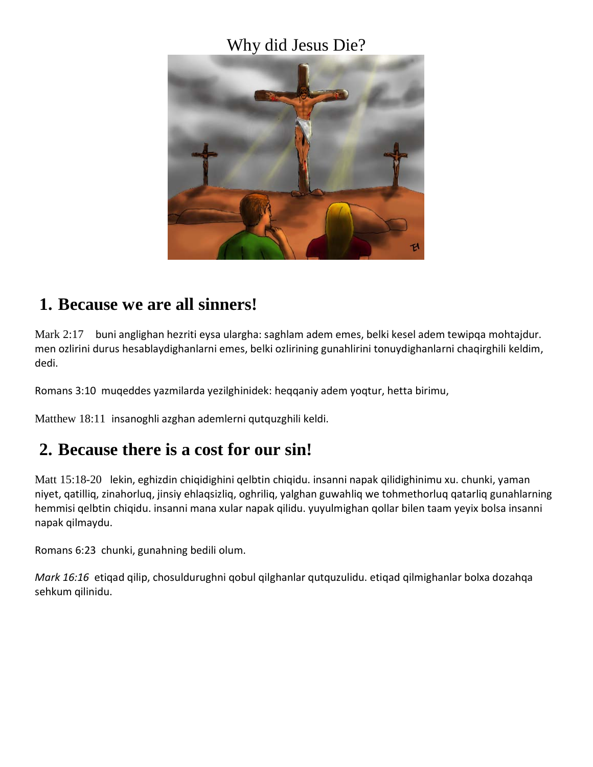### Why did Jesus Die?



### **1. Because we are all sinners!**

Mark 2:17 buni anglighan hezriti eysa ulargha: saghlam adem emes, belki kesel adem tewipqa mohtajdur. men ozlirini durus hesablaydighanlarni emes, belki ozlirining gunahlirini tonuydighanlarni chaqirghili keldim, dedi.

Romans 3:10 muqeddes yazmilarda yezilghinidek: heqqaniy adem yoqtur, hetta birimu,

Matthew 18:11 insanoghli azghan ademlerni qutquzghili keldi.

## **2. Because there is a cost for our sin!**

Matt 15:18-20 lekin, eghizdin chiqidighini qelbtin chiqidu. insanni napak qilidighinimu xu. chunki, yaman niyet, qatilliq, zinahorluq, jinsiy ehlaqsizliq, oghriliq, yalghan guwahliq we tohmethorluq qatarliq gunahlarning hemmisi qelbtin chiqidu. insanni mana xular napak qilidu. yuyulmighan qollar bilen taam yeyix bolsa insanni napak qilmaydu.

Romans 6:23 chunki, gunahning bedili olum.

*Mark 16:16* etiqad qilip, chosuldurughni qobul qilghanlar qutquzulidu. etiqad qilmighanlar bolxa dozahqa sehkum qilinidu.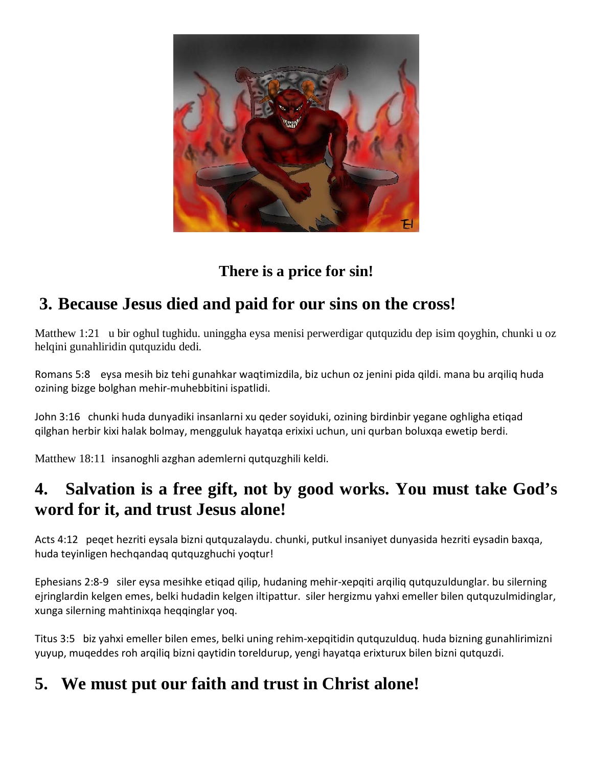

## **There is a price for sin!**

# **3. Because Jesus died and paid for our sins on the cross!**

Matthew 1:21 u bir oghul tughidu. uninggha eysa menisi perwerdigar qutquzidu dep isim qoyghin, chunki u oz helqini gunahliridin qutquzidu dedi.

Romans 5:8 eysa mesih biz tehi gunahkar waqtimizdila, biz uchun oz jenini pida qildi. mana bu arqiliq huda ozining bizge bolghan mehir-muhebbitini ispatlidi.

John 3:16 chunki huda dunyadiki insanlarni xu qeder soyiduki, ozining birdinbir yegane oghligha etiqad qilghan herbir kixi halak bolmay, mengguluk hayatqa erixixi uchun, uni qurban boluxqa ewetip berdi.

Matthew 18:11 insanoghli azghan ademlerni qutquzghili keldi.

## **4. Salvation is a free gift, not by good works. You must take God's word for it, and trust Jesus alone!**

Acts 4:12 peqet hezriti eysala bizni qutquzalaydu. chunki, putkul insaniyet dunyasida hezriti eysadin baxqa, huda teyinligen hechqandaq qutquzghuchi yoqtur!

Ephesians 2:8-9 siler eysa mesihke etiqad qilip, hudaning mehir-xepqiti arqiliq qutquzuldunglar. bu silerning ejringlardin kelgen emes, belki hudadin kelgen iltipattur. siler hergizmu yahxi emeller bilen qutquzulmidinglar, xunga silerning mahtinixqa heqqinglar yoq.

Titus 3:5 biz yahxi emeller bilen emes, belki uning rehim-xepqitidin qutquzulduq. huda bizning gunahlirimizni yuyup, muqeddes roh arqiliq bizni qaytidin toreldurup, yengi hayatqa erixturux bilen bizni qutquzdi.

# **5. We must put our faith and trust in Christ alone!**